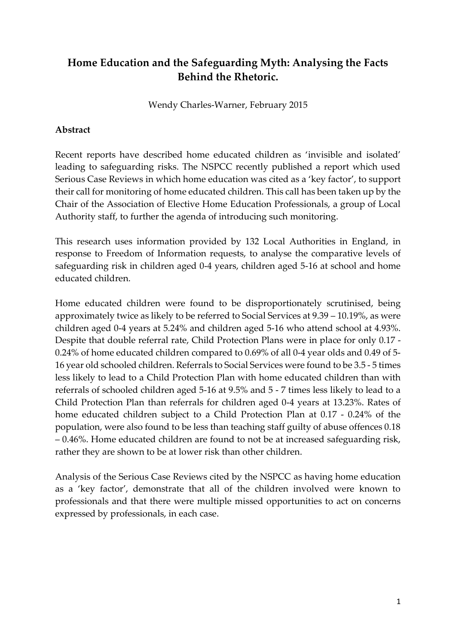# **Home Education and the Safeguarding Myth: Analysing the Facts Behind the Rhetoric.**

Wendy Charles-Warner, February 2015

## **Abstract**

Recent reports have described home educated children as 'invisible and isolated' leading to safeguarding risks. The NSPCC recently published a report which used Serious Case Reviews in which home education was cited as a 'key factor', to support their call for monitoring of home educated children. This call has been taken up by the Chair of the Association of Elective Home Education Professionals, a group of Local Authority staff, to further the agenda of introducing such monitoring.

This research uses information provided by 132 Local Authorities in England, in response to Freedom of Information requests, to analyse the comparative levels of safeguarding risk in children aged 0-4 years, children aged 5-16 at school and home educated children.

Home educated children were found to be disproportionately scrutinised, being approximately twice as likely to be referred to Social Services at 9.39 – 10.19%, as were children aged 0-4 years at 5.24% and children aged 5-16 who attend school at 4.93%. Despite that double referral rate, Child Protection Plans were in place for only 0.17 - 0.24% of home educated children compared to 0.69% of all 0-4 year olds and 0.49 of 5- 16 year old schooled children. Referrals to Social Services were found to be 3.5 - 5 times less likely to lead to a Child Protection Plan with home educated children than with referrals of schooled children aged 5-16 at 9.5% and 5 - 7 times less likely to lead to a Child Protection Plan than referrals for children aged 0-4 years at 13.23%. Rates of home educated children subject to a Child Protection Plan at 0.17 - 0.24% of the population, were also found to be less than teaching staff guilty of abuse offences 0.18 – 0.46%. Home educated children are found to not be at increased safeguarding risk, rather they are shown to be at lower risk than other children.

Analysis of the Serious Case Reviews cited by the NSPCC as having home education as a 'key factor', demonstrate that all of the children involved were known to professionals and that there were multiple missed opportunities to act on concerns expressed by professionals, in each case.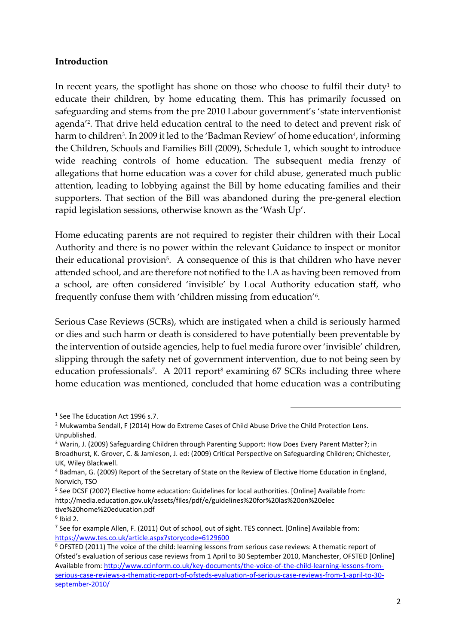#### **Introduction**

In recent years, the spotlight has shone on those who choose to fulfil their duty $^{\rm 1}$  to educate their children, by home educating them. This has primarily focussed on safeguarding and stems from the pre 2010 Labour government's 'state interventionist agenda'<sup>2</sup> . That drive held education central to the need to detect and prevent risk of harm to children<sup>3</sup>. In 2009 it led to the 'Badman Review' of home education<sup>4</sup>, informing the Children, Schools and Families Bill (2009), Schedule 1, which sought to introduce wide reaching controls of home education. The subsequent media frenzy of allegations that home education was a cover for child abuse, generated much public attention, leading to lobbying against the Bill by home educating families and their supporters. That section of the Bill was abandoned during the pre-general election rapid legislation sessions, otherwise known as the 'Wash Up'.

Home educating parents are not required to register their children with their Local Authority and there is no power within the relevant Guidance to inspect or monitor their educational provision<sup>5</sup>. A consequence of this is that children who have never attended school, and are therefore not notified to the LA as having been removed from a school, are often considered 'invisible' by Local Authority education staff, who frequently confuse them with 'children missing from education'<sup>6</sup> .

Serious Case Reviews (SCRs), which are instigated when a child is seriously harmed or dies and such harm or death is considered to have potentially been preventable by the intervention of outside agencies, help to fuel media furore over 'invisible' children, slipping through the safety net of government intervention, due to not being seen by education professionals<sup>7</sup>. A 2011 report<sup>8</sup> examining 67 SCRs including three where home education was mentioned, concluded that home education was a contributing

<sup>&</sup>lt;sup>1</sup> See The Education Act 1996 s.7.

<sup>&</sup>lt;sup>2</sup> Mukwamba Sendall, F (2014) How do Extreme Cases of Child Abuse Drive the Child Protection Lens. Unpublished.

<sup>3</sup> Warin, J. (2009) Safeguarding Children through Parenting Support: How Does Every Parent Matter?; in Broadhurst, K. Grover, C. & Jamieson, J. ed: (2009) Critical Perspective on Safeguarding Children; Chichester, UK, Wiley Blackwell.

<sup>4</sup> Badman, G. (2009) Report of the Secretary of State on the Review of Elective Home Education in England, Norwich, TSO

<sup>&</sup>lt;sup>5</sup> See DCSF (2007) Elective home education: Guidelines for local authorities. [Online] Available from: http://media.education.gov.uk/assets/files/pdf/e/guidelines%20for%20las%20on%20elec tive%20home%20education.pdf

<sup>6</sup> Ibid 2.

<sup>&</sup>lt;sup>7</sup> See for example Allen, F. (2011) Out of school, out of sight. TES connect. [Online] Available from: <https://www.tes.co.uk/article.aspx?storycode=6129600>

<sup>8</sup> OFSTED (2011) The voice of the child: learning lessons from serious case reviews: A thematic report of Ofsted's evaluation of serious case reviews from 1 April to 30 September 2010, Manchester, OFSTED [Online] Available from: [http://www.ccinform.co.uk/key-documents/the-voice-of-the-child-learning-lessons-from](http://www.ccinform.co.uk/key-documents/the-voice-of-the-child-learning-lessons-from-serious-case-reviews-a-thematic-report-of-ofsteds-evaluation-of-serious-case-reviews-from-1-april-to-30-september-2010/)[serious-case-reviews-a-thematic-report-of-ofsteds-evaluation-of-serious-case-reviews-from-1-april-to-30](http://www.ccinform.co.uk/key-documents/the-voice-of-the-child-learning-lessons-from-serious-case-reviews-a-thematic-report-of-ofsteds-evaluation-of-serious-case-reviews-from-1-april-to-30-september-2010/) [september-2010/](http://www.ccinform.co.uk/key-documents/the-voice-of-the-child-learning-lessons-from-serious-case-reviews-a-thematic-report-of-ofsteds-evaluation-of-serious-case-reviews-from-1-april-to-30-september-2010/)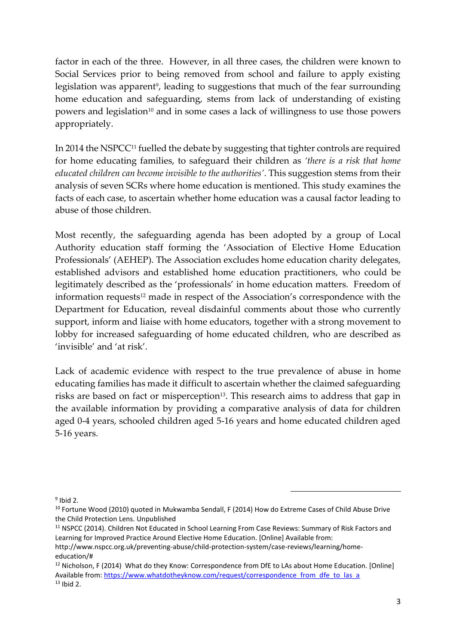factor in each of the three. However, in all three cases, the children were known to Social Services prior to being removed from school and failure to apply existing legislation was apparent<sup>9</sup>, leading to suggestions that much of the fear surrounding home education and safeguarding, stems from lack of understanding of existing powers and legislation<sup>10</sup> and in some cases a lack of willingness to use those powers appropriately.

In 2014 the NSPCC<sup>11</sup> fuelled the debate by suggesting that tighter controls are required for home educating families, to safeguard their children as *'there is a risk that home educated children can become invisible to the authorities'*. This suggestion stems from their analysis of seven SCRs where home education is mentioned. This study examines the facts of each case, to ascertain whether home education was a causal factor leading to abuse of those children.

Most recently, the safeguarding agenda has been adopted by a group of Local Authority education staff forming the 'Association of Elective Home Education Professionals' (AEHEP). The Association excludes home education charity delegates, established advisors and established home education practitioners, who could be legitimately described as the 'professionals' in home education matters. Freedom of information requests<sup>12</sup> made in respect of the Association's correspondence with the Department for Education, reveal disdainful comments about those who currently support, inform and liaise with home educators, together with a strong movement to lobby for increased safeguarding of home educated children, who are described as 'invisible' and 'at risk'.

Lack of academic evidence with respect to the true prevalence of abuse in home educating families has made it difficult to ascertain whether the claimed safeguarding risks are based on fact or misperception<sup>13</sup>. This research aims to address that gap in the available information by providing a comparative analysis of data for children aged 0-4 years, schooled children aged 5-16 years and home educated children aged 5-16 years.

 $9$  Ibid 2.

<sup>&</sup>lt;sup>10</sup> Fortune Wood (2010) quoted in Mukwamba Sendall, F (2014) How do Extreme Cases of Child Abuse Drive the Child Protection Lens. Unpublished

<sup>&</sup>lt;sup>11</sup> NSPCC (2014). Children Not Educated in School Learning From Case Reviews: Summary of Risk Factors and Learning for Improved Practice Around Elective Home Education. [Online] Available from:

http://www.nspcc.org.uk/preventing-abuse/child-protection-system/case-reviews/learning/homeeducation/#

<sup>&</sup>lt;sup>12</sup> Nicholson, F (2014) What do they Know: Correspondence from DfE to LAs about Home Education. [Online] Available from: [https://www.whatdotheyknow.com/request/correspondence\\_from\\_dfe\\_to\\_las\\_a](https://www.whatdotheyknow.com/request/correspondence_from_dfe_to_las_a)  $13$  Ibid 2.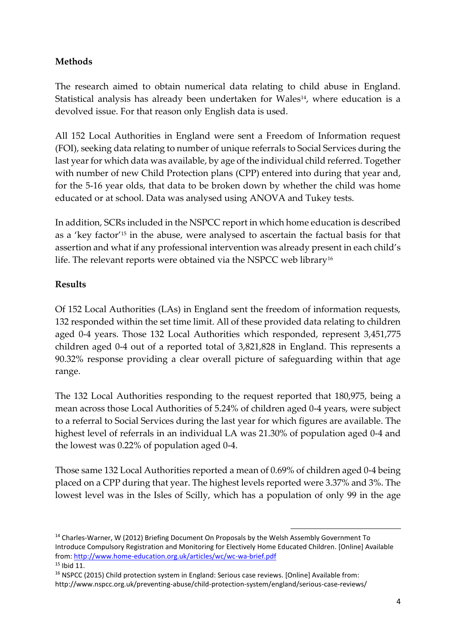# **Methods**

The research aimed to obtain numerical data relating to child abuse in England. Statistical analysis has already been undertaken for Wales $14$ , where education is a devolved issue. For that reason only English data is used.

All 152 Local Authorities in England were sent a Freedom of Information request (FOI), seeking data relating to number of unique referrals to Social Services during the last year for which data was available, by age of the individual child referred. Together with number of new Child Protection plans (CPP) entered into during that year and, for the 5-16 year olds, that data to be broken down by whether the child was home educated or at school. Data was analysed using ANOVA and Tukey tests.

In addition, SCRs included in the NSPCC report in which home education is described as a 'key factor'<sup>15</sup> in the abuse, were analysed to ascertain the factual basis for that assertion and what if any professional intervention was already present in each child's life. The relevant reports were obtained via the NSPCC web library<sup>16</sup>

## **Results**

Of 152 Local Authorities (LAs) in England sent the freedom of information requests, 132 responded within the set time limit. All of these provided data relating to children aged 0-4 years. Those 132 Local Authorities which responded, represent 3,451,775 children aged 0-4 out of a reported total of 3,821,828 in England. This represents a 90.32% response providing a clear overall picture of safeguarding within that age range.

The 132 Local Authorities responding to the request reported that 180,975, being a mean across those Local Authorities of 5.24% of children aged 0-4 years, were subject to a referral to Social Services during the last year for which figures are available. The highest level of referrals in an individual LA was 21.30% of population aged 0-4 and the lowest was 0.22% of population aged 0-4.

Those same 132 Local Authorities reported a mean of 0.69% of children aged 0-4 being placed on a CPP during that year. The highest levels reported were 3.37% and 3%. The lowest level was in the Isles of Scilly, which has a population of only 99 in the age

<sup>&</sup>lt;sup>14</sup> Charles-Warner, W (2012) Briefing Document On Proposals by the Welsh Assembly Government To Introduce Compulsory Registration and Monitoring for Electively Home Educated Children. [Online] Available from[: http://www.home-education.org.uk/articles/wc/wc-wa-brief.pdf](http://www.home-education.org.uk/articles/wc/wc-wa-brief.pdf)  <sup>15</sup> Ibid 11.

<sup>16</sup> NSPCC (2015) Child protection system in England: Serious case reviews. [Online] Available from: http://www.nspcc.org.uk/preventing-abuse/child-protection-system/england/serious-case-reviews/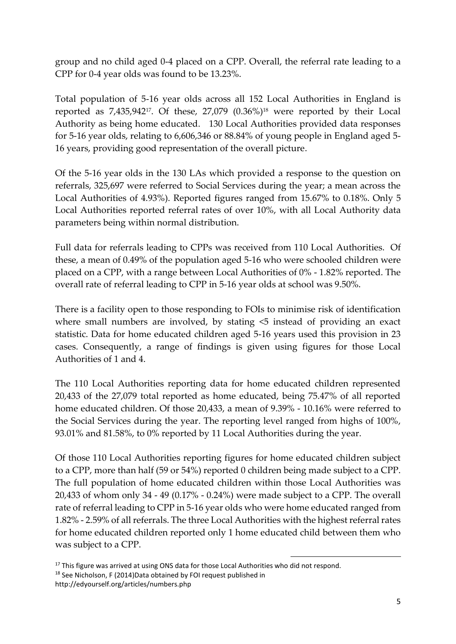group and no child aged 0-4 placed on a CPP. Overall, the referral rate leading to a CPP for 0-4 year olds was found to be 13.23%.

Total population of 5-16 year olds across all 152 Local Authorities in England is reported as  $7,435,942^{17}$ . Of these,  $27,079$   $(0.36\%)$ <sup>18</sup> were reported by their Local Authority as being home educated. 130 Local Authorities provided data responses for 5-16 year olds, relating to 6,606,346 or 88.84% of young people in England aged 5- 16 years, providing good representation of the overall picture.

Of the 5-16 year olds in the 130 LAs which provided a response to the question on referrals, 325,697 were referred to Social Services during the year; a mean across the Local Authorities of 4.93%). Reported figures ranged from 15.67% to 0.18%. Only 5 Local Authorities reported referral rates of over 10%, with all Local Authority data parameters being within normal distribution.

Full data for referrals leading to CPPs was received from 110 Local Authorities. Of these, a mean of 0.49% of the population aged 5-16 who were schooled children were placed on a CPP, with a range between Local Authorities of 0% - 1.82% reported. The overall rate of referral leading to CPP in 5-16 year olds at school was 9.50%.

There is a facility open to those responding to FOIs to minimise risk of identification where small numbers are involved, by stating  $\leq$  instead of providing an exact statistic. Data for home educated children aged 5-16 years used this provision in 23 cases. Consequently, a range of findings is given using figures for those Local Authorities of 1 and 4.

The 110 Local Authorities reporting data for home educated children represented 20,433 of the 27,079 total reported as home educated, being 75.47% of all reported home educated children. Of those 20,433, a mean of 9.39% - 10.16% were referred to the Social Services during the year. The reporting level ranged from highs of 100%, 93.01% and 81.58%, to 0% reported by 11 Local Authorities during the year.

Of those 110 Local Authorities reporting figures for home educated children subject to a CPP, more than half (59 or 54%) reported 0 children being made subject to a CPP. The full population of home educated children within those Local Authorities was 20,433 of whom only 34 - 49 (0.17% - 0.24%) were made subject to a CPP. The overall rate of referral leading to CPP in 5-16 year olds who were home educated ranged from 1.82% - 2.59% of all referrals. The three Local Authorities with the highest referral rates for home educated children reported only 1 home educated child between them who was subject to a CPP.

1

18 See Nicholson, F (2014) Data obtained by FOI request published in http://edyourself.org/articles/numbers.php

<sup>&</sup>lt;sup>17</sup> This figure was arrived at using ONS data for those Local Authorities who did not respond.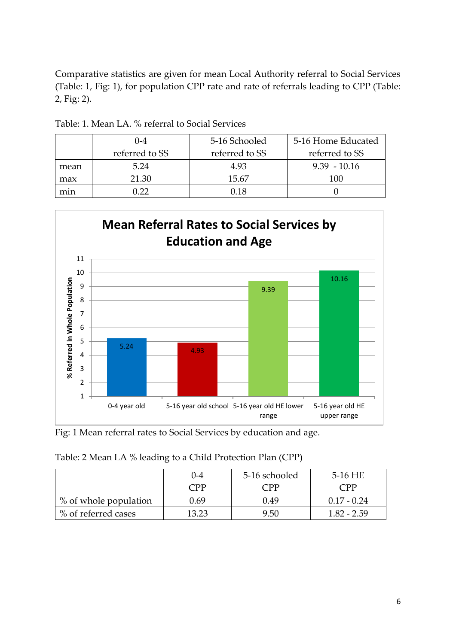Comparative statistics are given for mean Local Authority referral to Social Services (Table: 1, Fig: 1), for population CPP rate and rate of referrals leading to CPP (Table: 2, Fig: 2).

|      | $($ )-4        | 5-16 Schooled  | 5-16 Home Educated |
|------|----------------|----------------|--------------------|
|      | referred to SS | referred to SS | referred to SS     |
| mean | 5.24           | 4.93           | $9.39 - 10.16$     |
| max  | 21.30          | 15.67          | 100                |
| mın  | ነ ንን           | 0 18           |                    |

Table: 1. Mean LA. % referral to Social Services



Fig: 1 Mean referral rates to Social Services by education and age.

| Table: 2 Mean LA % leading to a Child Protection Plan (CPP) |  |  |
|-------------------------------------------------------------|--|--|
|                                                             |  |  |

|                       | 0-4   | 5-16 schooled | 5-16 HE        |
|-----------------------|-------|---------------|----------------|
|                       | CPP   | CPP           | $\mathsf{CPP}$ |
| % of whole population | 0.69  | 0.49          | $0.17 - 0.24$  |
| % of referred cases   | 13 23 | 9.50          | 182 - 259      |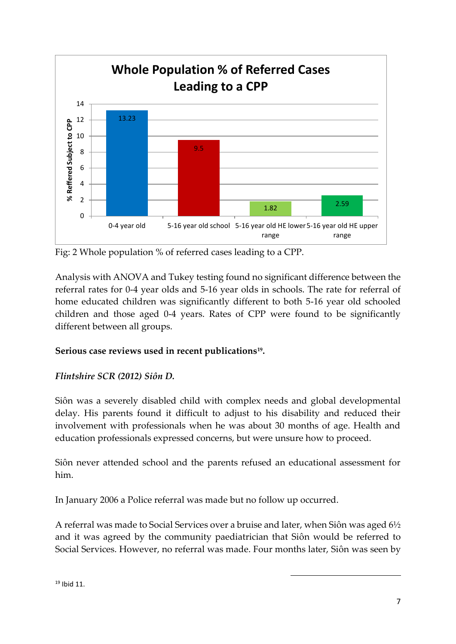

Fig: 2 Whole population % of referred cases leading to a CPP.

Analysis with ANOVA and Tukey testing found no significant difference between the referral rates for 0-4 year olds and 5-16 year olds in schools. The rate for referral of home educated children was significantly different to both 5-16 year old schooled children and those aged 0-4 years. Rates of CPP were found to be significantly different between all groups.

# **Serious case reviews used in recent publications<sup>19</sup> .**

## *Flintshire SCR (2012) Siôn D.*

Siôn was a severely disabled child with complex needs and global developmental delay. His parents found it difficult to adjust to his disability and reduced their involvement with professionals when he was about 30 months of age. Health and education professionals expressed concerns, but were unsure how to proceed.

Siôn never attended school and the parents refused an educational assessment for him.

In January 2006 a Police referral was made but no follow up occurred.

A referral was made to Social Services over a bruise and later, when Siôn was aged 6½ and it was agreed by the community paediatrician that Siôn would be referred to Social Services. However, no referral was made. Four months later, Siôn was seen by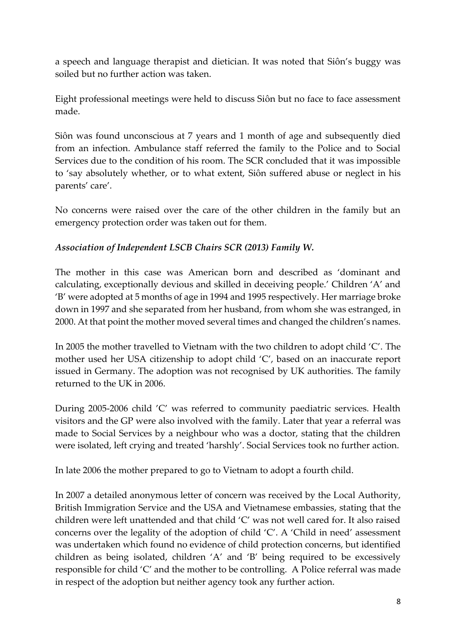a speech and language therapist and dietician. It was noted that Siôn's buggy was soiled but no further action was taken.

Eight professional meetings were held to discuss Siôn but no face to face assessment made.

Siôn was found unconscious at 7 years and 1 month of age and subsequently died from an infection. Ambulance staff referred the family to the Police and to Social Services due to the condition of his room. The SCR concluded that it was impossible to 'say absolutely whether, or to what extent, Siôn suffered abuse or neglect in his parents' care'.

No concerns were raised over the care of the other children in the family but an emergency protection order was taken out for them.

# *Association of Independent LSCB Chairs SCR (2013) Family W.*

The mother in this case was American born and described as 'dominant and calculating, exceptionally devious and skilled in deceiving people.' Children 'A' and 'B' were adopted at 5 months of age in 1994 and 1995 respectively. Her marriage broke down in 1997 and she separated from her husband, from whom she was estranged, in 2000. At that point the mother moved several times and changed the children's names.

In 2005 the mother travelled to Vietnam with the two children to adopt child 'C'. The mother used her USA citizenship to adopt child 'C', based on an inaccurate report issued in Germany. The adoption was not recognised by UK authorities. The family returned to the UK in 2006.

During 2005-2006 child 'C' was referred to community paediatric services. Health visitors and the GP were also involved with the family. Later that year a referral was made to Social Services by a neighbour who was a doctor, stating that the children were isolated, left crying and treated 'harshly'. Social Services took no further action.

In late 2006 the mother prepared to go to Vietnam to adopt a fourth child.

In 2007 a detailed anonymous letter of concern was received by the Local Authority, British Immigration Service and the USA and Vietnamese embassies, stating that the children were left unattended and that child 'C' was not well cared for. It also raised concerns over the legality of the adoption of child 'C'. A 'Child in need' assessment was undertaken which found no evidence of child protection concerns, but identified children as being isolated, children 'A' and 'B' being required to be excessively responsible for child 'C' and the mother to be controlling. A Police referral was made in respect of the adoption but neither agency took any further action.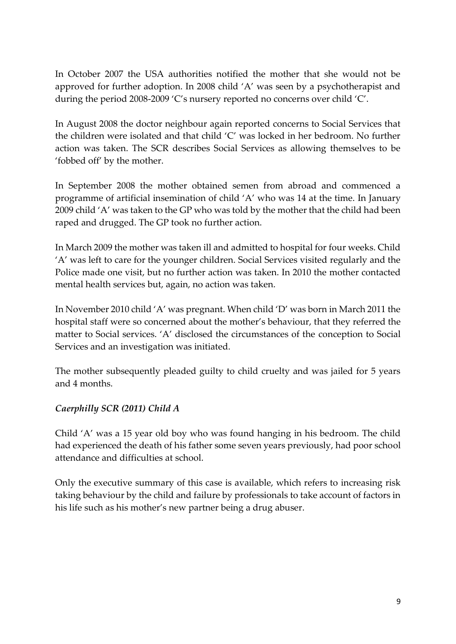In October 2007 the USA authorities notified the mother that she would not be approved for further adoption. In 2008 child 'A' was seen by a psychotherapist and during the period 2008-2009 'C's nursery reported no concerns over child 'C'.

In August 2008 the doctor neighbour again reported concerns to Social Services that the children were isolated and that child 'C' was locked in her bedroom. No further action was taken. The SCR describes Social Services as allowing themselves to be 'fobbed off' by the mother.

In September 2008 the mother obtained semen from abroad and commenced a programme of artificial insemination of child 'A' who was 14 at the time. In January 2009 child 'A' was taken to the GP who was told by the mother that the child had been raped and drugged. The GP took no further action.

In March 2009 the mother was taken ill and admitted to hospital for four weeks. Child 'A' was left to care for the younger children. Social Services visited regularly and the Police made one visit, but no further action was taken. In 2010 the mother contacted mental health services but, again, no action was taken.

In November 2010 child 'A' was pregnant. When child 'D' was born in March 2011 the hospital staff were so concerned about the mother's behaviour, that they referred the matter to Social services. 'A' disclosed the circumstances of the conception to Social Services and an investigation was initiated.

The mother subsequently pleaded guilty to child cruelty and was jailed for 5 years and 4 months.

# *Caerphilly SCR (2011) Child A*

Child 'A' was a 15 year old boy who was found hanging in his bedroom. The child had experienced the death of his father some seven years previously, had poor school attendance and difficulties at school.

Only the executive summary of this case is available, which refers to increasing risk taking behaviour by the child and failure by professionals to take account of factors in his life such as his mother's new partner being a drug abuser.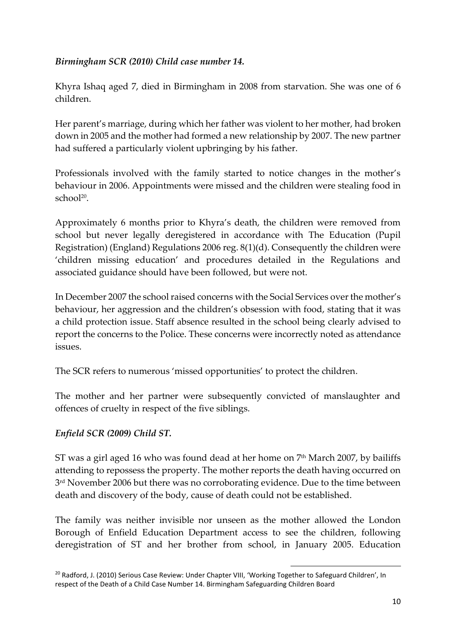# *Birmingham SCR (2010) Child case number 14.*

Khyra Ishaq aged 7, died in Birmingham in 2008 from starvation. She was one of 6 children.

Her parent's marriage, during which her father was violent to her mother, had broken down in 2005 and the mother had formed a new relationship by 2007. The new partner had suffered a particularly violent upbringing by his father.

Professionals involved with the family started to notice changes in the mother's behaviour in 2006. Appointments were missed and the children were stealing food in school<sup>20</sup>.

Approximately 6 months prior to Khyra's death, the children were removed from school but never legally deregistered in accordance with The Education (Pupil Registration) (England) Regulations 2006 reg. 8(1)(d). Consequently the children were 'children missing education' and procedures detailed in the Regulations and associated guidance should have been followed, but were not.

In December 2007 the school raised concerns with the Social Services over the mother's behaviour, her aggression and the children's obsession with food, stating that it was a child protection issue. Staff absence resulted in the school being clearly advised to report the concerns to the Police. These concerns were incorrectly noted as attendance issues.

The SCR refers to numerous 'missed opportunities' to protect the children.

The mother and her partner were subsequently convicted of manslaughter and offences of cruelty in respect of the five siblings.

# *Enfield SCR (2009) Child ST.*

ST was a girl aged 16 who was found dead at her home on  $7<sup>th</sup>$  March 2007, by bailiffs attending to repossess the property. The mother reports the death having occurred on 3 rd November 2006 but there was no corroborating evidence. Due to the time between death and discovery of the body, cause of death could not be established.

The family was neither invisible nor unseen as the mother allowed the London Borough of Enfield Education Department access to see the children, following deregistration of ST and her brother from school, in January 2005. Education

<sup>1</sup> <sup>20</sup> Radford, J. (2010) Serious Case Review: Under Chapter VIII, 'Working Together to Safeguard Children', In respect of the Death of a Child Case Number 14. Birmingham Safeguarding Children Board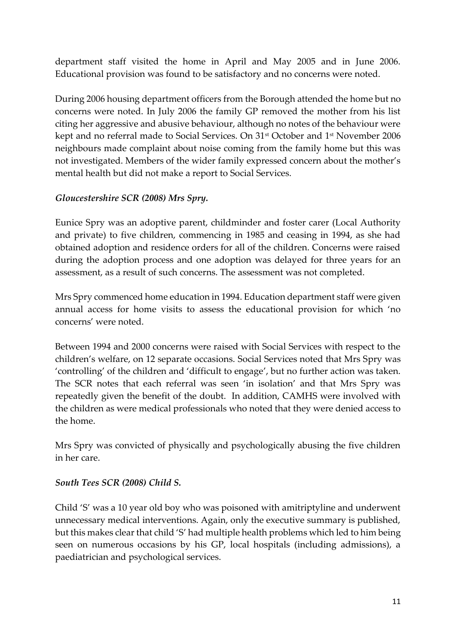department staff visited the home in April and May 2005 and in June 2006. Educational provision was found to be satisfactory and no concerns were noted.

During 2006 housing department officers from the Borough attended the home but no concerns were noted. In July 2006 the family GP removed the mother from his list citing her aggressive and abusive behaviour, although no notes of the behaviour were kept and no referral made to Social Services. On 31st October and 1st November 2006 neighbours made complaint about noise coming from the family home but this was not investigated. Members of the wider family expressed concern about the mother's mental health but did not make a report to Social Services.

## *Gloucestershire SCR (2008) Mrs Spry.*

Eunice Spry was an adoptive parent, childminder and foster carer (Local Authority and private) to five children, commencing in 1985 and ceasing in 1994, as she had obtained adoption and residence orders for all of the children. Concerns were raised during the adoption process and one adoption was delayed for three years for an assessment, as a result of such concerns. The assessment was not completed.

Mrs Spry commenced home education in 1994. Education department staff were given annual access for home visits to assess the educational provision for which 'no concerns' were noted.

Between 1994 and 2000 concerns were raised with Social Services with respect to the children's welfare, on 12 separate occasions. Social Services noted that Mrs Spry was 'controlling' of the children and 'difficult to engage', but no further action was taken. The SCR notes that each referral was seen 'in isolation' and that Mrs Spry was repeatedly given the benefit of the doubt. In addition, CAMHS were involved with the children as were medical professionals who noted that they were denied access to the home.

Mrs Spry was convicted of physically and psychologically abusing the five children in her care.

## *South Tees SCR (2008) Child S.*

Child 'S' was a 10 year old boy who was poisoned with amitriptyline and underwent unnecessary medical interventions. Again, only the executive summary is published, but this makes clear that child 'S' had multiple health problems which led to him being seen on numerous occasions by his GP, local hospitals (including admissions), a paediatrician and psychological services.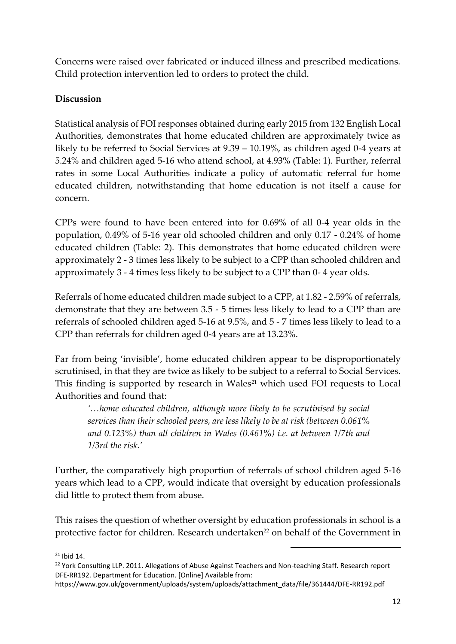Concerns were raised over fabricated or induced illness and prescribed medications. Child protection intervention led to orders to protect the child.

# **Discussion**

Statistical analysis of FOI responses obtained during early 2015 from 132 English Local Authorities, demonstrates that home educated children are approximately twice as likely to be referred to Social Services at 9.39 – 10.19%, as children aged 0-4 years at 5.24% and children aged 5-16 who attend school, at 4.93% (Table: 1). Further, referral rates in some Local Authorities indicate a policy of automatic referral for home educated children, notwithstanding that home education is not itself a cause for concern.

CPPs were found to have been entered into for 0.69% of all 0-4 year olds in the population, 0.49% of 5-16 year old schooled children and only 0.17 - 0.24% of home educated children (Table: 2). This demonstrates that home educated children were approximately 2 - 3 times less likely to be subject to a CPP than schooled children and approximately 3 - 4 times less likely to be subject to a CPP than 0- 4 year olds.

Referrals of home educated children made subject to a CPP, at 1.82 - 2.59% of referrals, demonstrate that they are between 3.5 - 5 times less likely to lead to a CPP than are referrals of schooled children aged 5-16 at 9.5%, and 5 - 7 times less likely to lead to a CPP than referrals for children aged 0-4 years are at 13.23%.

Far from being 'invisible', home educated children appear to be disproportionately scrutinised, in that they are twice as likely to be subject to a referral to Social Services. This finding is supported by research in Wales $21$  which used FOI requests to Local Authorities and found that:

*'…home educated children, although more likely to be scrutinised by social services than their schooled peers, are less likely to be at risk (between 0.061% and 0.123%) than all children in Wales (0.461%) i.e. at between 1/7th and 1/3rd the risk.'*

Further, the comparatively high proportion of referrals of school children aged 5-16 years which lead to a CPP, would indicate that oversight by education professionals did little to protect them from abuse.

This raises the question of whether oversight by education professionals in school is a protective factor for children. Research undertaken<sup>22</sup> on behalf of the Government in

 $21$  Ibid 14.

<sup>&</sup>lt;sup>22</sup> York Consulting LLP. 2011. Allegations of Abuse Against Teachers and Non-teaching Staff. Research report DFE-RR192. Department for Education. [Online] Available from:

https://www.gov.uk/government/uploads/system/uploads/attachment\_data/file/361444/DFE-RR192.pdf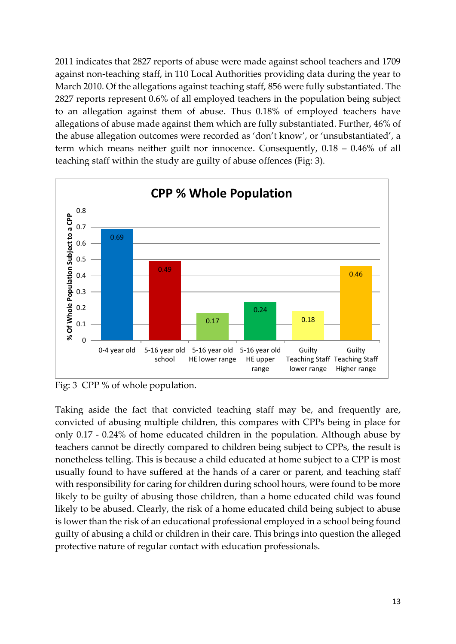2011 indicates that 2827 reports of abuse were made against school teachers and 1709 against non-teaching staff, in 110 Local Authorities providing data during the year to March 2010. Of the allegations against teaching staff, 856 were fully substantiated. The 2827 reports represent 0.6% of all employed teachers in the population being subject to an allegation against them of abuse. Thus 0.18% of employed teachers have allegations of abuse made against them which are fully substantiated. Further, 46% of the abuse allegation outcomes were recorded as 'don't know', or 'unsubstantiated', a term which means neither guilt nor innocence. Consequently, 0.18 – 0.46% of all teaching staff within the study are guilty of abuse offences (Fig: 3).



Fig: 3 CPP % of whole population.

Taking aside the fact that convicted teaching staff may be, and frequently are, convicted of abusing multiple children, this compares with CPPs being in place for only 0.17 - 0.24% of home educated children in the population. Although abuse by teachers cannot be directly compared to children being subject to CPPs, the result is nonetheless telling. This is because a child educated at home subject to a CPP is most usually found to have suffered at the hands of a carer or parent, and teaching staff with responsibility for caring for children during school hours, were found to be more likely to be guilty of abusing those children, than a home educated child was found likely to be abused. Clearly, the risk of a home educated child being subject to abuse is lower than the risk of an educational professional employed in a school being found guilty of abusing a child or children in their care. This brings into question the alleged protective nature of regular contact with education professionals.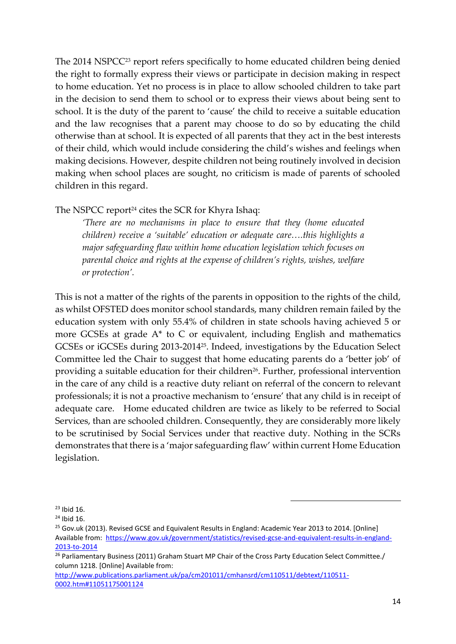The 2014 NSPCC<sup>23</sup> report refers specifically to home educated children being denied the right to formally express their views or participate in decision making in respect to home education. Yet no process is in place to allow schooled children to take part in the decision to send them to school or to express their views about being sent to school. It is the duty of the parent to 'cause' the child to receive a suitable education and the law recognises that a parent may choose to do so by educating the child otherwise than at school. It is expected of all parents that they act in the best interests of their child, which would include considering the child's wishes and feelings when making decisions. However, despite children not being routinely involved in decision making when school places are sought, no criticism is made of parents of schooled children in this regard.

## The NSPCC report<sup>24</sup> cites the SCR for Khyra Ishaq:

*'There are no mechanisms in place to ensure that they (home educated children) receive a 'suitable' education or adequate care….this highlights a major safeguarding flaw within home education legislation which focuses on parental choice and rights at the expense of children's rights, wishes, welfare or protection'.* 

This is not a matter of the rights of the parents in opposition to the rights of the child, as whilst OFSTED does monitor school standards, many children remain failed by the education system with only 55.4% of children in state schools having achieved 5 or more GCSEs at grade A\* to C or equivalent, including English and mathematics GCSEs or iGCSEs during 2013-2014<sup>25</sup> . Indeed, investigations by the Education Select Committee led the Chair to suggest that home educating parents do a 'better job' of providing a suitable education for their children<sup>26</sup>. Further, professional intervention in the care of any child is a reactive duty reliant on referral of the concern to relevant professionals; it is not a proactive mechanism to 'ensure' that any child is in receipt of adequate care. Home educated children are twice as likely to be referred to Social Services, than are schooled children. Consequently, they are considerably more likely to be scrutinised by Social Services under that reactive duty. Nothing in the SCRs demonstrates that there is a 'major safeguarding flaw' within current Home Education legislation.

1

[http://www.publications.parliament.uk/pa/cm201011/cmhansrd/cm110511/debtext/110511-](http://www.publications.parliament.uk/pa/cm201011/cmhansrd/cm110511/debtext/110511-0002.htm#11051175001124) [0002.htm#11051175001124](http://www.publications.parliament.uk/pa/cm201011/cmhansrd/cm110511/debtext/110511-0002.htm#11051175001124)

<sup>23</sup> Ibid 16.

<sup>24</sup> Ibid 16.

<sup>&</sup>lt;sup>25</sup> Gov.uk (2013). Revised GCSE and Equivalent Results in England: Academic Year 2013 to 2014. [Online] Available from: [https://www.gov.uk/government/statistics/revised-gcse-and-equivalent-results-in-england-](https://www.gov.uk/government/statistics/revised-gcse-and-equivalent-results-in-england-2013-to-2014)[2013-to-2014](https://www.gov.uk/government/statistics/revised-gcse-and-equivalent-results-in-england-2013-to-2014)

<sup>&</sup>lt;sup>26</sup> Parliamentary Business (2011) Graham Stuart MP Chair of the Cross Party Education Select Committee./ column 1218. [Online] Available from: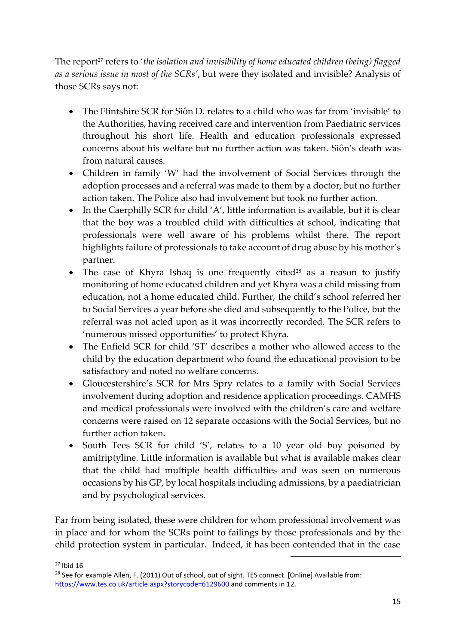The report<sup>27</sup> refers to '*the isolation and invisibility of home educated children (being) flagged as a serious issue in most of the SCRs'*, but were they isolated and invisible? Analysis of those SCRs says not:

- The Flintshire SCR for Siôn D. relates to a child who was far from 'invisible' to the Authorities, having received care and intervention from Paediatric services throughout his short life. Health and education professionals expressed concerns about his welfare but no further action was taken. Siôn's death was from natural causes.
- Children in family 'W' had the involvement of Social Services through the adoption processes and a referral was made to them by a doctor, but no further action taken. The Police also had involvement but took no further action.
- In the Caerphilly SCR for child 'A', little information is available, but it is clear that the boy was a troubled child with difficulties at school, indicating that professionals were well aware of his problems whilst there. The report highlights failure of professionals to take account of drug abuse by his mother's partner.
- The case of Khyra Ishaq is one frequently cited<sup>28</sup> as a reason to justify monitoring of home educated children and yet Khyra was a child missing from education, not a home educated child. Further, the child's school referred her to Social Services a year before she died and subsequently to the Police, but the referral was not acted upon as it was incorrectly recorded. The SCR refers to 'numerous missed opportunities' to protect Khyra.
- The Enfield SCR for child 'ST' describes a mother who allowed access to the child by the education department who found the educational provision to be satisfactory and noted no welfare concerns.
- Gloucestershire's SCR for Mrs Spry relates to a family with Social Services involvement during adoption and residence application proceedings. CAMHS and medical professionals were involved with the children's care and welfare concerns were raised on 12 separate occasions with the Social Services, but no further action taken.
- South Tees SCR for child 'S', relates to a 10 year old boy poisoned by amitriptyline. Little information is available but what is available makes clear that the child had multiple health difficulties and was seen on numerous occasions by his GP, by local hospitals including admissions, by a paediatrician and by psychological services.

Far from being isolated, these were children for whom professional involvement was in place and for whom the SCRs point to failings by those professionals and by the child protection system in particular. Indeed, it has been contended that in the case

1

<sup>27</sup> Ibid 16

<sup>&</sup>lt;sup>28</sup> See for example Allen, F. (2011) Out of school, out of sight. TES connect. [Online] Available from: <https://www.tes.co.uk/article.aspx?storycode=6129600> and comments in 12.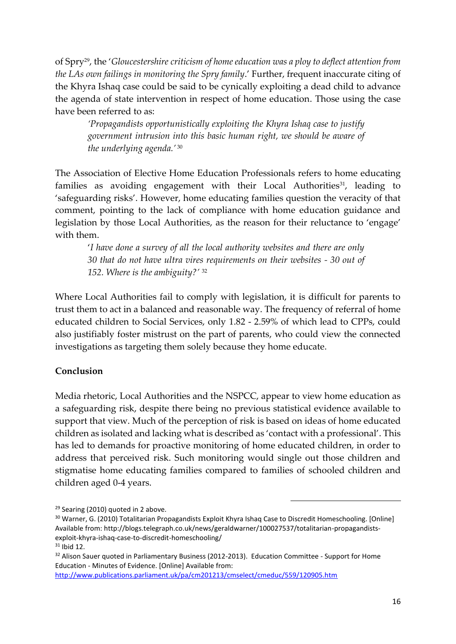of Spry<sup>29</sup> , the '*Gloucestershire criticism of home education was a ploy to deflect attention from the LAs own failings in monitoring the Spry family*.' Further, frequent inaccurate citing of the Khyra Ishaq case could be said to be cynically exploiting a dead child to advance the agenda of state intervention in respect of home education. Those using the case have been referred to as:

*'Propagandists opportunistically exploiting the Khyra Ishaq case to justify government intrusion into this basic human right, we should be aware of the underlying agenda.'* <sup>30</sup>

The Association of Elective Home Education Professionals refers to home educating families as avoiding engagement with their Local Authorities<sup>31</sup>, leading to 'safeguarding risks'. However, home educating families question the veracity of that comment, pointing to the lack of compliance with home education guidance and legislation by those Local Authorities, as the reason for their reluctance to 'engage' with them.

'*I have done a survey of all the local authority websites and there are only 30 that do not have ultra vires requirements on their websites - 30 out of 152. Where is the ambiguity?'* <sup>32</sup>

Where Local Authorities fail to comply with legislation, it is difficult for parents to trust them to act in a balanced and reasonable way. The frequency of referral of home educated children to Social Services, only 1.82 - 2.59% of which lead to CPPs, could also justifiably foster mistrust on the part of parents, who could view the connected investigations as targeting them solely because they home educate.

## **Conclusion**

Media rhetoric, Local Authorities and the NSPCC, appear to view home education as a safeguarding risk, despite there being no previous statistical evidence available to support that view. Much of the perception of risk is based on ideas of home educated children as isolated and lacking what is described as 'contact with a professional'. This has led to demands for proactive monitoring of home educated children, in order to address that perceived risk. Such monitoring would single out those children and stigmatise home educating families compared to families of schooled children and children aged 0-4 years.

1

<http://www.publications.parliament.uk/pa/cm201213/cmselect/cmeduc/559/120905.htm>

<sup>&</sup>lt;sup>29</sup> Searing (2010) quoted in 2 above.

<sup>30</sup> Warner, G. (2010) Totalitarian Propagandists Exploit Khyra Ishaq Case to Discredit Homeschooling. [Online] Available from: http://blogs.telegraph.co.uk/news/geraldwarner/100027537/totalitarian-propagandistsexploit-khyra-ishaq-case-to-discredit-homeschooling/  $31$  Ibid 12.

<sup>&</sup>lt;sup>32</sup> Alison Sauer quoted in Parliamentary Business (2012-2013). Education Committee - Support for Home Education - Minutes of Evidence. [Online] Available from: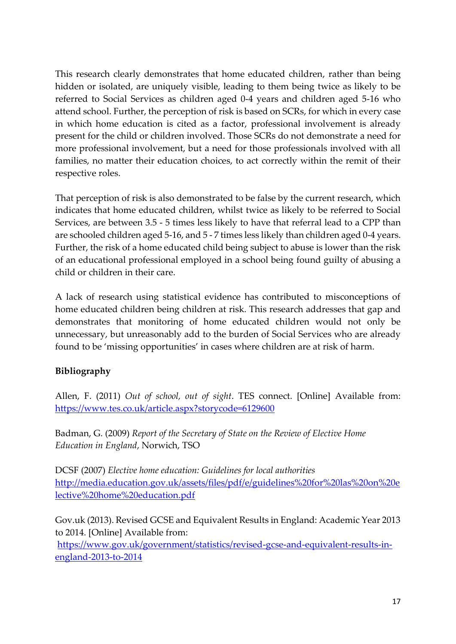This research clearly demonstrates that home educated children, rather than being hidden or isolated, are uniquely visible, leading to them being twice as likely to be referred to Social Services as children aged 0-4 years and children aged 5-16 who attend school. Further, the perception of risk is based on SCRs, for which in every case in which home education is cited as a factor, professional involvement is already present for the child or children involved. Those SCRs do not demonstrate a need for more professional involvement, but a need for those professionals involved with all families, no matter their education choices, to act correctly within the remit of their respective roles.

That perception of risk is also demonstrated to be false by the current research, which indicates that home educated children, whilst twice as likely to be referred to Social Services, are between 3.5 - 5 times less likely to have that referral lead to a CPP than are schooled children aged 5-16, and 5 - 7 times less likely than children aged 0-4 years. Further, the risk of a home educated child being subject to abuse is lower than the risk of an educational professional employed in a school being found guilty of abusing a child or children in their care.

A lack of research using statistical evidence has contributed to misconceptions of home educated children being children at risk. This research addresses that gap and demonstrates that monitoring of home educated children would not only be unnecessary, but unreasonably add to the burden of Social Services who are already found to be 'missing opportunities' in cases where children are at risk of harm.

# **Bibliography**

Allen, F. (2011) *Out of school, out of sight*. TES connect. [Online] Available from: <https://www.tes.co.uk/article.aspx?storycode=6129600>

Badman, G. (2009) *Report of the Secretary of State on the Review of Elective Home Education in England*, Norwich, TSO

DCSF (2007) *Elective home education: Guidelines for local authorities* [http://media.education.gov.uk/assets/files/pdf/e/guidelines%20for%20las%20on%20e](http://media.education.gov.uk/assets/files/pdf/e/guidelines%20for%20las%20on%20elective%20home%20education.pdf) [lective%20home%20education.pdf](http://media.education.gov.uk/assets/files/pdf/e/guidelines%20for%20las%20on%20elective%20home%20education.pdf)

Gov.uk (2013). Revised GCSE and Equivalent Results in England: Academic Year 2013 to 2014. [Online] Available from:

[https://www.gov.uk/government/statistics/revised-gcse-and-equivalent-results-in](https://www.gov.uk/government/statistics/revised-gcse-and-equivalent-results-in-england-2013-to-2014)[england-2013-to-2014](https://www.gov.uk/government/statistics/revised-gcse-and-equivalent-results-in-england-2013-to-2014)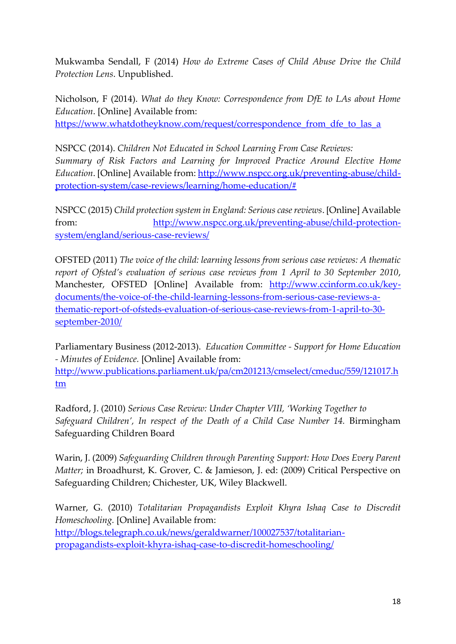Mukwamba Sendall, F (2014) *How do Extreme Cases of Child Abuse Drive the Child Protection Lens*. Unpublished.

Nicholson, F (2014). *What do they Know: Correspondence from DfE to LAs about Home Education*. [Online] Available from:

[https://www.whatdotheyknow.com/request/correspondence\\_from\\_dfe\\_to\\_las\\_a](https://www.whatdotheyknow.com/request/correspondence_from_dfe_to_las_a)

NSPCC (2014). *Children Not Educated in School Learning From Case Reviews: Summary of Risk Factors and Learning for Improved Practice Around Elective Home Education*. [Online] Available from: [http://www.nspcc.org.uk/preventing-abuse/child](http://www.nspcc.org.uk/preventing-abuse/child-protection-system/case-reviews/learning/home-education/)[protection-system/case-reviews/learning/home-education/#](http://www.nspcc.org.uk/preventing-abuse/child-protection-system/case-reviews/learning/home-education/) 

NSPCC (2015) *Child protection system in England: Serious case reviews*. [Online] Available from: [http://www.nspcc.org.uk/preventing-abuse/child-protection](http://www.nspcc.org.uk/preventing-abuse/child-protection-system/england/serious-case-reviews/)[system/england/serious-case-reviews/](http://www.nspcc.org.uk/preventing-abuse/child-protection-system/england/serious-case-reviews/)

OFSTED (2011) *The voice of the child: learning lessons from serious case reviews: A thematic report of Ofsted's evaluation of serious case reviews from 1 April to 30 September 2010*, Manchester, OFSTED [Online] Available from: [http://www.ccinform.co.uk/key](http://www.ccinform.co.uk/key-documents/the-voice-of-the-child-learning-lessons-from-serious-case-reviews-a-thematic-report-of-ofsteds-evaluation-of-serious-case-reviews-from-1-april-to-30-september-2010/)[documents/the-voice-of-the-child-learning-lessons-from-serious-case-reviews-a](http://www.ccinform.co.uk/key-documents/the-voice-of-the-child-learning-lessons-from-serious-case-reviews-a-thematic-report-of-ofsteds-evaluation-of-serious-case-reviews-from-1-april-to-30-september-2010/)[thematic-report-of-ofsteds-evaluation-of-serious-case-reviews-from-1-april-to-30](http://www.ccinform.co.uk/key-documents/the-voice-of-the-child-learning-lessons-from-serious-case-reviews-a-thematic-report-of-ofsteds-evaluation-of-serious-case-reviews-from-1-april-to-30-september-2010/) [september-2010/](http://www.ccinform.co.uk/key-documents/the-voice-of-the-child-learning-lessons-from-serious-case-reviews-a-thematic-report-of-ofsteds-evaluation-of-serious-case-reviews-from-1-april-to-30-september-2010/) 

Parliamentary Business (2012-2013). *Education Committee - Support for Home Education - Minutes of Evidence.* [Online] Available from:

[http://www.publications.parliament.uk/pa/cm201213/cmselect/cmeduc/559/121017.h](http://www.publications.parliament.uk/pa/cm201213/cmselect/cmeduc/559/121017.htm) [tm](http://www.publications.parliament.uk/pa/cm201213/cmselect/cmeduc/559/121017.htm)

Radford, J. (2010) *Serious Case Review: Under Chapter VIII, 'Working Together to Safeguard Children', In respect of the Death of a Child Case Number 14.* Birmingham Safeguarding Children Board

Warin, J. (2009) *Safeguarding Children through Parenting Support: How Does Every Parent Matter;* in Broadhurst, K. Grover, C. & Jamieson, J. ed: (2009) Critical Perspective on Safeguarding Children; Chichester, UK, Wiley Blackwell.

Warner, G. (2010) *Totalitarian Propagandists Exploit Khyra Ishaq Case to Discredit Homeschooling.* [Online] Available from: [http://blogs.telegraph.co.uk/news/geraldwarner/100027537/totalitarian](http://blogs.telegraph.co.uk/news/geraldwarner/100027537/totalitarian-propagandists-exploit-khyra-ishaq-case-to-discredit-homeschooling/)[propagandists-exploit-khyra-ishaq-case-to-discredit-homeschooling/](http://blogs.telegraph.co.uk/news/geraldwarner/100027537/totalitarian-propagandists-exploit-khyra-ishaq-case-to-discredit-homeschooling/)